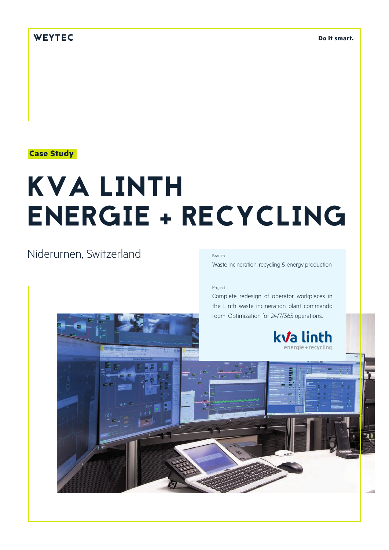## WEYTEC

**Do it smart.**

### **Case Study**

# KVA LINTH ENERGIE + RECYCLING

# Niderurnen, Switzerland

#### Branch

Waste incineration, recycling & energy production

#### Project

Complete redesign of operator workplaces in the Linth waste incineration plant commando room. Optimization for 24/7/365 operations.



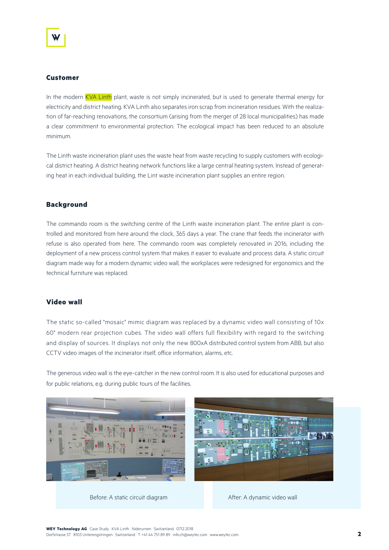#### **Customer**

In the modern KVA Linth plant, waste is not simply incinerated, but is used to generate thermal energy for electricity and district heating. KVA Linth also separates iron scrap from incineration residues. With the realization of far-reaching renovations, the consortium (arising from the merger of 28 local municipalities) has made a clear commitment to environmental protection. The ecological impact has been reduced to an absolute minimum.

The Linth waste incineration plant uses the waste heat from waste recycling to supply customers with ecological district heating. A district heating network functions like a large central heating system. Instead of generating heat in each individual building, the Lint waste incineration plant supplies an entire region.

#### **Background**

The commando room is the switching centre of the Linth waste incineration plant. The entire plant is controlled and monitored from here around the clock, 365 days a year. The crane that feeds the incinerator with refuse is also operated from here. The commando room was completely renovated in 2016, including the deployment of a new process control system that makes it easier to evaluate and process data. A static circuit diagram made way for a modern dynamic video wall, the workplaces were redesigned for ergonomics and the technical furniture was replaced.

#### **Video wall**

The static so-called "mosaic" mimic diagram was replaced by a dynamic video wall consisting of 10x 60" modern rear projection cubes. The video wall offers full flexibility with regard to the switching and display of sources. It displays not only the new 800xA distributed control system from ABB, but also CCTV video images of the incinerator itself, office information, alarms, etc.

The generous video wall is the eye-catcher in the new control room. It is also used for educational purposes and for public relations, e.g. during public tours of the facilities.



Before: A static circuit diagram After: A dynamic video wall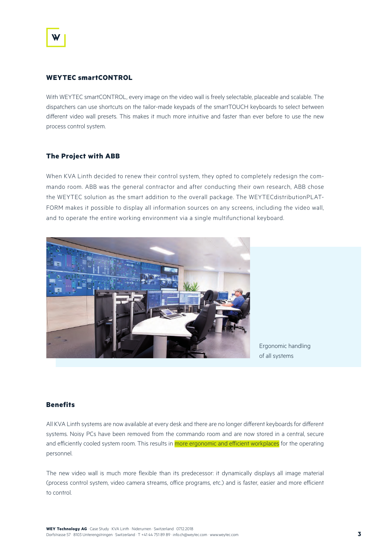#### **WEYTEC smartCONTROL**

With WEYTEC smartCONTROL, every image on the video wall is freely selectable, placeable and scalable. The dispatchers can use shortcuts on the tailor-made keypads of the smartTOUCH keyboards to select between different video wall presets. This makes it much more intuitive and faster than ever before to use the new process control system.

#### **The Project with ABB**

When KVA Linth decided to renew their control system, they opted to completely redesign the commando room. ABB was the general contractor and after conducting their own research, ABB chose the WEYTEC solution as the smart addition to the overall package. The WEYTECdistributionPLAT-FORM makes it possible to display all information sources on any screens, including the video wall, and to operate the entire working environment via a single multifunctional keyboard.



Ergonomic handling of all systems

#### **Benefits**

All KVA Linth systems are now available at every desk and there are no longer different keyboards for different systems. Noisy PCs have been removed from the commando room and are now stored in a central, secure and efficiently cooled system room. This results in more ergonomic and efficient workplaces for the operating personnel.

The new video wall is much more flexible than its predecessor: it dynamically displays all image material (process control system, video camera streams, office programs, etc.) and is faster, easier and more efficient to control.